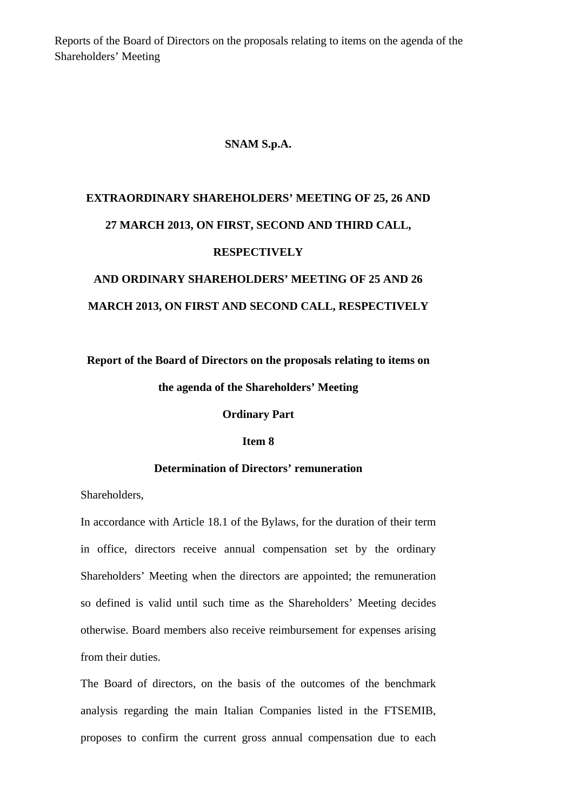Reports of the Board of Directors on the proposals relating to items on the agenda of the Shareholders' Meeting

### **SNAM S.p.A.**

# **EXTRAORDINARY SHAREHOLDERS' MEETING OF 25, 26 AND 27 MARCH 2013, ON FIRST, SECOND AND THIRD CALL, RESPECTIVELY**

## **AND ORDINARY SHAREHOLDERS' MEETING OF 25 AND 26 MARCH 2013, ON FIRST AND SECOND CALL, RESPECTIVELY**

#### **Report of the Board of Directors on the proposals relating to items on**

#### **the agenda of the Shareholders' Meeting**

#### **Ordinary Part**

#### **Item 8**

#### **Determination of Directors' remuneration**

Shareholders,

In accordance with Article 18.1 of the Bylaws, for the duration of their term in office, directors receive annual compensation set by the ordinary Shareholders' Meeting when the directors are appointed; the remuneration so defined is valid until such time as the Shareholders' Meeting decides otherwise. Board members also receive reimbursement for expenses arising from their duties.

The Board of directors, on the basis of the outcomes of the benchmark analysis regarding the main Italian Companies listed in the FTSEMIB, proposes to confirm the current gross annual compensation due to each